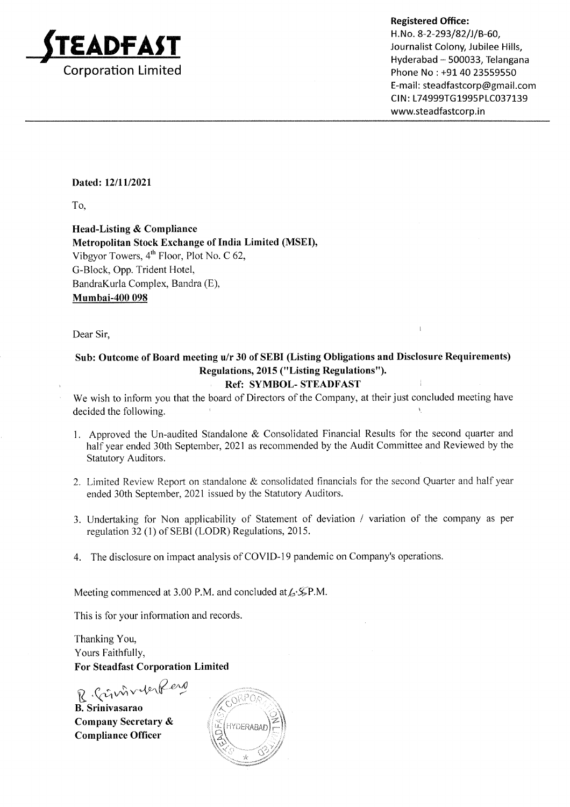

Phone No : +91 40 23559550 E-mail: steadfastcorp@gmail.com CIN: L74999TG1995PLC037139 www.steadfastcorp.in

### Dated: 12/11/2021

To,

Head-Listing & Compliance Metropolitan Stock Exchange of India Limited (MSEI), Vibgyor Towers,  $4<sup>th</sup>$  Floor, Plot No. C 62, G-Block, Opp. Trident Hotel, BandraKurla Complex, Bandra (E), Mumbai-400 098

Dear Sir,

## Sub: Outcome of Board meeting u/r 30 of SEBI (Listing Obligations and Disclosure Requirements) Regulations, 2015 ("Listing Regulations").

### Ref: SYMBOL- STEADFAST

We wish to inform you that the board of Directors of the Company, at their just concluded meeting have decided the following.

- L Approved the Un-audited Standalone & Consolidated Financial Results for the second quarter and half year ended 30th September, 2021 as recommended by the Audit Committee and Reviewed by the Statutory Auditors.
- 2. Limited Review Report on standalone  $\&$  consolidated financials for the second Quarter and half year ended 30th September, 2021 issued by the Statutory Auditors.
- 3. Undertaking for Non applicability of Statement of deviation / variation of the company as per regulation 32 (1) of SEBI (LODR) Regulations, 2015.
- 4. The disclosure on impact analysis of COVID-19 pandemic on Company's operations.

Meeting commenced at 3.00 P.M. and concluded at  $\mathcal{L}^{\mathcal{L}}\mathcal{F}$ P.M.

This is for your information and records.

Thanking You, Yours Faithfully, For Steadfast Corporation Limited

R. Crimboder Reno

B. Srinivasarao Company Secretary & Compliance Officer

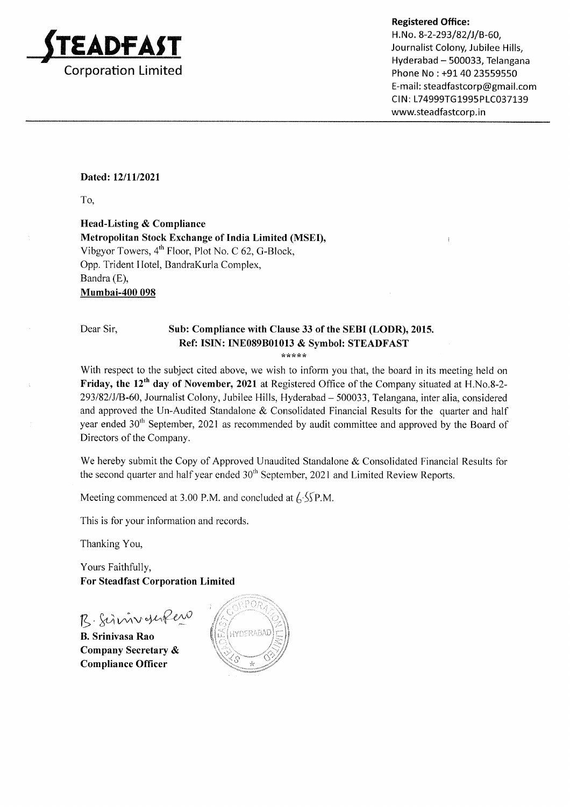

H.No. 8-2-293/82/J/B-60. Journalist Colony, Jubilee Hills, Hyderabad - 500033, Telangana Phone No : +91 40 23559550 E-mail: steadfastcorp@gmail.com CIN: L74999TG1995PLC037139 www.steadfastcorp.in

#### Dated: 12/11/2021

To,

Head-Listing & Compliance Metropolitan Stock Exchange of India Limited (MSED, Vibgyor Towers,  $4<sup>th</sup>$  Floor, Plot No. C 62, G-Block, Opp. Trident IIotel, BandraKurla Complex, Bandra (E), Mumbai-40O 098

#### Dear Sir, Sub: Compliance with Clause 33 of the SEBI (LODR), 2015. Ref: ISIN: INE089B01013 & Symbol: STEADFAST

,rlrtr\*L

With respect to the subject cited above, we wish to inform you that, the board in its meeting held on Friday, the 12'h day of November, 2021 at Registered Office of the Company situated at H.No.8-2- 293/82/J/B-60, Journalist Colony, Jubilee Hills, Hyderabad - 500033, Telangana, inter alia, considered and approved the Un-Audited Standalone & Consolidated Financial Results for the quarter and half year ended 30<sup>th</sup> September, 2021 as recommended by audit committee and approved by the Board of Directors of the Company.

We hereby submit the Copy of Approved Unaudited Standalone & Consolidated Financial Results for the second quarter and half year ended 30<sup>th</sup> September, 2021 and Limited Review Reports.

Meeting commenced at 3.00 P.M. and concluded at  $\frac{\sqrt{5}}{2}$ P.M.

This is for your information and records.

Thanking You,

Yours Faithfully, For Steadfast Corporation Limited

B. Simmonlew

B. Srinivasa Rao Company Secretary & Compliance Officer

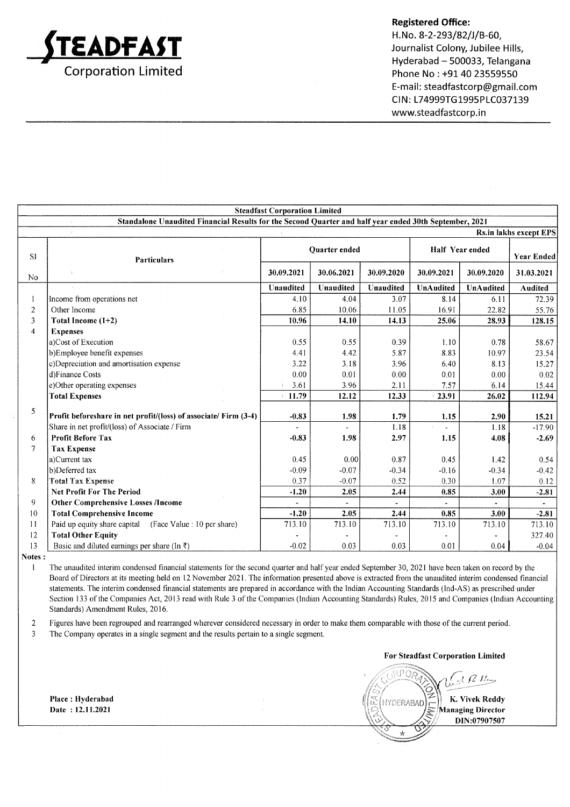

H.No. 8-2-293/82/J/B-60, Journalist Colony, Jubilee Hills, Hyderabad - 500033, Telangana Phone No : +91 40 23559550 E-mail : steadfastcorp@gmail.com CIN: L74999TG1995PLC037139 www.steadfastcorp.in

| <b>Steadfast Corporation Limited</b> |                                                                                                        |            |                      |            |                        |            |                   |
|--------------------------------------|--------------------------------------------------------------------------------------------------------|------------|----------------------|------------|------------------------|------------|-------------------|
|                                      | Standalone Unaudited Financial Results for the Second Quarter and half year ended 30th September, 2021 |            |                      |            |                        |            |                   |
|                                      | <b>Rs.in lakhs except EPS</b>                                                                          |            |                      |            |                        |            |                   |
| S1                                   | <b>Particulars</b>                                                                                     |            | <b>Ouarter</b> ended |            | <b>Half Year ended</b> |            | <b>Year Ended</b> |
| No                                   |                                                                                                        | 30.09.2021 | 30.06.2021           | 30.09.2020 | 30.09.2021             | 30.09.2020 | 31.03.2021        |
|                                      |                                                                                                        | Unaudited  | Unaudited            | Unaudited  | UnAudited              | UnAudited  | <b>Audited</b>    |
|                                      | Income from operations net                                                                             | 4.10       | 4.04                 | 3.07       | 8.14                   | 6.11       | 72.39             |
| 2                                    | Other Income                                                                                           | 6.85       | 10.06                | 11.05      | 16.91                  | 22.82      | 55.76             |
| 3                                    | Total Income $(1+2)$                                                                                   | 10.96      | 14.10                | 14.13      | 25.06                  | 28.93      | 128.15            |
| 4                                    | <b>Expenses</b>                                                                                        |            |                      |            |                        |            |                   |
|                                      | a)Cost of Execution                                                                                    | 0.55       | 0.55                 | 0.39       | 1.10                   | 0.78       | 58.67             |
|                                      | b)Employee benefit expenses                                                                            | 4.41       | 4.42                 | 5.87       | 8.83                   | 10.97      | 23.54             |
|                                      | c)Depreciation and amortisation expense                                                                | 3.22       | 3.18                 | 3.96       | 6.40                   | 8.13       | 15.27             |
|                                      | d)Finance Costs                                                                                        | 0.00       | 0.01                 | 0.00       | 0.01                   | 0.00       | 0.02              |
|                                      | e)Other operating expenses                                                                             | 3.61       | 3.96                 | 2.11       | 7.57                   | 6.14       | 15.44             |
|                                      | <b>Total Expenses</b>                                                                                  | 11.79      | 12.12                | 12.33      | 23.91                  | 26.02      | 112.94            |
| 5                                    | Profit beforeshare in net profit/(loss) of associate/ Firm (3-4)                                       | $-0.83$    | 1.98                 | 1.79       | 1.15                   | 2.90       | 15.21             |
|                                      | Share in net profit/(loss) of Associate / Firm                                                         |            |                      | 1.18       |                        | 1.18       | $-17.90$          |
| 6                                    | <b>Profit Before Tax</b>                                                                               | $-0.83$    | 1.98                 | 2.97       | 1.15                   | 4.08       | $-2.69$           |
| 7                                    | <b>Tax Expense</b>                                                                                     |            |                      |            |                        |            |                   |
|                                      | a)Current tax                                                                                          | 0.45       | 0.00                 | 0.87       | 0.45                   | 1.42       | 0.54              |
|                                      | b)Deferred tax                                                                                         | $-0.09$    | $-0.07$              | $-0.34$    | $-0.16$                | $-0.34$    | $-0.42$           |
| 8                                    | <b>Total Tax Expense</b>                                                                               | 0.37       | $-0.07$              | 0.52       | 0.30                   | 1.07       | 0.12              |
|                                      | <b>Net Profit For The Period</b>                                                                       | $-1.20$    | 2.05                 | 2.44       | 0.85                   | 3.00       | $-2.81$           |
| 9                                    | <b>Other Comprehensive Losses /Income</b>                                                              |            |                      |            |                        |            |                   |
| 10                                   | <b>Total Comprehensive Income</b>                                                                      | $-1.20$    | 2.05                 | 2.44       | 0.85                   | 3.00       | $-2.81$           |
| 11                                   | Paid up equity share capital (Face Value : 10 per share)                                               | 713.10     | 713.10               | 713.10     | 713.10                 | 713.10     | 713.10            |
| 12                                   | <b>Total Other Equity</b>                                                                              |            |                      |            |                        |            | 327.40            |
| 13                                   | Basic and diluted earnings per share (In ₹)                                                            | $-0.02$    | 0.03                 | 0.03       | 0.01                   | 0.04       | $-0.04$           |

Notes: I

The unaudited interim condensed financial statements for the second quarter and halfyear ended September 30,2021 have been taken on record by the Board of Directors at its meeting held on 12 November 2021. The information presented above is extracted from the unaudited interim condensed financial statements. The interim condensed financial statements are prepared in accordance with the Indian Accounting Standards (lnd-AS) as prescribed under Section 133 of the Companies Act, 2013 read with Rule 3 of the Companies (lndian Accounting Standards) Rules, 2015 and Companies (lndian Accounting Standards) Amendment Rules, 2016.

2 Figures have been regrouped and rearranged wherever considered necessary in order to make them comparable with those ofthe current period.

3 The Company operates in a single segment and the results pertain to a single segment.

For Steadfast Corporation Limited

 $\wr$  P ( ) **HYDERABAD** Rt {tK. Vivek Reddy Managing Director DIN:07907507

Place : Hyderabad Date: 12.11.2021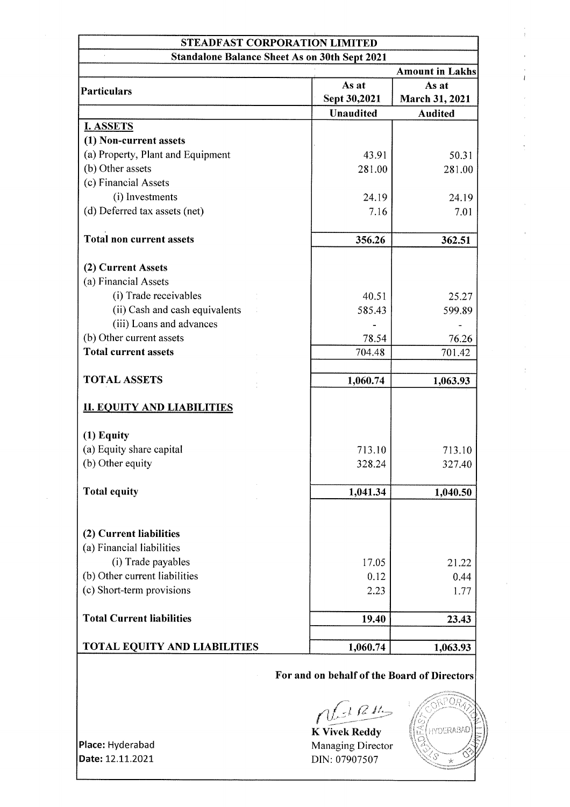| <b>STEADFAST CORPORATION LIMITED</b>                 |                  |                        |  |  |
|------------------------------------------------------|------------------|------------------------|--|--|
| <b>Standalone Balance Sheet As on 30th Sept 2021</b> |                  |                        |  |  |
|                                                      |                  | <b>Amount in Lakhs</b> |  |  |
|                                                      | As at            | As at                  |  |  |
| <b>Particulars</b>                                   | Sept 30,2021     | March 31, 2021         |  |  |
|                                                      | <b>Unaudited</b> | <b>Audited</b>         |  |  |
| <b>I. ASSETS</b>                                     |                  |                        |  |  |
| (1) Non-current assets                               |                  |                        |  |  |
| (a) Property, Plant and Equipment                    | 43.91            | 50.31                  |  |  |
| (b) Other assets                                     | 281.00           | 281.00                 |  |  |
| (c) Financial Assets                                 |                  |                        |  |  |
| (i) Investments                                      | 24.19            | 24.19                  |  |  |
| (d) Deferred tax assets (net)                        | 7.16             | 7.01                   |  |  |
|                                                      |                  |                        |  |  |
| <b>Total non current assets</b>                      | 356.26           | 362.51                 |  |  |
|                                                      |                  |                        |  |  |
| (2) Current Assets                                   |                  |                        |  |  |
| (a) Financial Assets                                 |                  |                        |  |  |
| (i) Trade receivables                                | 40.51            | 25.27                  |  |  |
| (ii) Cash and cash equivalents                       | 585.43           | 599.89                 |  |  |
| (iii) Loans and advances                             |                  |                        |  |  |
| (b) Other current assets                             | 78.54            | 76.26                  |  |  |
| <b>Total current assets</b>                          | 704.48           | 701.42                 |  |  |
|                                                      |                  |                        |  |  |
| <b>TOTAL ASSETS</b>                                  | 1,060.74         | 1,063.93               |  |  |
|                                                      |                  |                        |  |  |
| <b>II. EQUITY AND LIABILITIES</b>                    |                  |                        |  |  |
|                                                      |                  |                        |  |  |
| $(1)$ Equity                                         |                  |                        |  |  |
| (a) Equity share capital                             | 713.10           | 713.10                 |  |  |
| (b) Other equity                                     | 328.24           | 327.40                 |  |  |
| <b>Total equity</b>                                  | 1,041.34         | 1,040.50               |  |  |
|                                                      |                  |                        |  |  |
| (2) Current liabilities                              |                  |                        |  |  |
| (a) Financial liabilities                            |                  |                        |  |  |
| (i) Trade payables                                   | 17.05            |                        |  |  |
| (b) Other current liabilities                        |                  | 21.22                  |  |  |
| (c) Short-term provisions                            | 0.12             | 0.44                   |  |  |
|                                                      | 2.23             | 1.77                   |  |  |
| <b>Total Current liabilities</b>                     | 19.40            | 23.43                  |  |  |
|                                                      |                  |                        |  |  |
| <b>TOTAL EQUITY AND LIABILITIES</b>                  | 1,060.74         | 1,063.93               |  |  |

## For and on behalf of the Board of Directors

 $n$  $\frac{1}{2}$ 

K Vivek Reddy Managing Director DIN: 07907507



Place: Hyderabad Date: 12.11.2021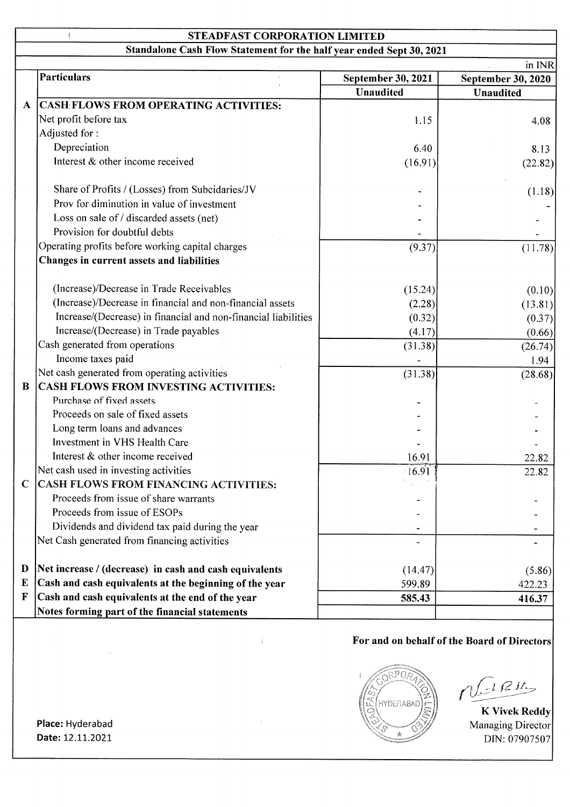# STEADFAST CORPORATION LIMITED

Standalone Cash Flow Statement for the half year ended Sept 30, 2021

|              |                                                                |                    | in INR                    |
|--------------|----------------------------------------------------------------|--------------------|---------------------------|
|              | <b>Particulars</b>                                             | September 30, 2021 | <b>September 30, 2020</b> |
|              |                                                                | <b>Unaudited</b>   | <b>Unaudited</b>          |
| $\mathbf{A}$ | <b>CASH FLOWS FROM OPERATING ACTIVITIES:</b>                   |                    |                           |
|              | Net profit before tax                                          | 1.15               | 4.08                      |
|              | Adjusted for:                                                  |                    |                           |
|              | Depreciation                                                   | 6.40               | 8.13                      |
|              | Interest & other income received                               | (16.91)            | (22.82)                   |
|              | Share of Profits / (Losses) from Subcidaries/JV                |                    | (1.18)                    |
|              | Prov for diminution in value of investment                     |                    |                           |
|              | Loss on sale of / discarded assets (net)                       |                    |                           |
|              | Provision for doubtful debts                                   |                    |                           |
|              | Operating profits before working capital charges               | (9.37)             | (11.78)                   |
|              | Changes in current assets and liabilities                      |                    |                           |
|              | (Increase)/Decrease in Trade Receivables                       | (15.24)            | (0.10)                    |
|              | (Increase)/Decrease in financial and non-financial assets      | (2.28)             | (13.81)                   |
|              | Increase/(Decrease) in financial and non-financial liabilities | (0.32)             | (0.37)                    |
|              | Increase/(Decrease) in Trade payables                          | (4.17)             | (0.66)                    |
|              | Cash generated from operations                                 | (31.38)            | (26.74)                   |
|              | Income taxes paid                                              |                    | 1.94                      |
|              | Net cash generated from operating activities                   | (31.38)            | (28.68)                   |
| $\bf{B}$     | CASH FLOWS FROM INVESTING ACTIVITIES:                          |                    |                           |
|              | Purchase of fixed assets                                       |                    |                           |
|              | Proceeds on sale of fixed assets                               |                    |                           |
|              | Long term loans and advances                                   |                    |                           |
|              | Investment in VHS Health Care                                  |                    |                           |
|              | Interest & other income received                               | 16.91              | 22.82                     |
|              | Net cash used in investing activities                          | 16.91              | 22.82                     |
| $\mathbf C$  | <b>CASH FLOWS FROM FINANCING ACTIVITIES:</b>                   |                    |                           |
|              | Proceeds from issue of share warrants                          |                    |                           |
|              | Proceeds from issue of ESOPs                                   |                    |                           |
|              | Dividends and dividend tax paid during the year                |                    |                           |
|              | Net Cash generated from financing activities                   |                    |                           |
| D            | Net increase / (decrease) in cash and cash equivalents         | (14.47)            | (5.86)                    |
| E            | Cash and cash equivalents at the beginning of the year         | 599.89             | 422.23                    |
| $\mathbf F$  | Cash and cash equivalents at the end of the year               | 585.43             | 416.37                    |
|              | Notes forming part of the financial statements                 |                    |                           |

 $\frac{1}{4}$ 

## For and on behalf of the Board of Directors



 $-1RH$ 

Managing Director DIN: 07907507

Date: 12.11.2021 Place: Hyderabad

 $\mathbf{I}$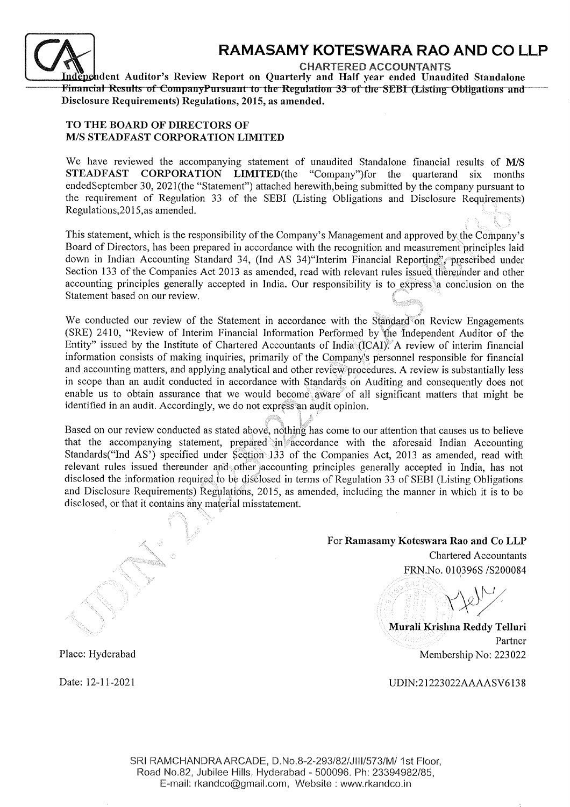

## RAMASAMY KOTESWARA RAO AND CO LLP

CHARTERED ACCOUNTANTS

Independent Auditor's Review Report on Quarterly and Half year ended Unaudited Standalone<br>Financial Results of CompanyPursuant to the Regulation 33 of the SEBI (Listing Obligations and Disclosure Requirements) Regulations, 2015, as amended.

### TO THE BOARD OF DIRECTORS OF M/S STEADFAST CORPORATION LIMITED

 $\mathcal{S}^{\prime\prime}$ 

 $\mathbf{x}$ 

We have reviewed the accompanying statement of unaudited Standalone financial results of M/S STEADFAST CORPORATION LIMITED(the "Company")for the quarterand six months endedSeptember 30, 2021(the "Statement") attached herewith,being submifted by the company pursuant to the requirement of Regulation 33 of the SEBI (Listing Obligations and Disclosure Requirements) Regulations, 2015, as amended.

 $\ell_{\rm max}$  is  $\theta$ This statement, which is the responsibility of the Company's Management and approved by the Company's Board of Directors, has been prepared in accordance with the recognition and measurement principles laid down in Indian Accounting Standard 34, (Ind AS 34) 'Interim Financial Reporting', prescribed under Section 133 of the Companies Act 2013 as amended, read with relevant rules issued thereunder and other accounting principles generally accepted in India. Our responsibility is to express a conclusion on the Statement based on our review.

We conducted our review of the Statement in accordance with the Standard on Review Engagements (SRE) 2410, "Review of Interim Financial Information Performed by the Independent Auditor of the Entity" issued by the Institute of Chartered Accountants of India (ICAI). A review of interim financial information consists of making inquiries, primarily of the Company's personnel responsible for financial and accounting matters, and applying analytical and other review procedures. A review is substantially less in scope than an audit conducted in accordance with Standards on Auditing and consequently does not enable us to obtain assurance that we would become aware of all significant matters that might be identified in an audit. Accordingly, we do not express an audit opinion.

Based on our review conducted as stated above, nothing has come to our attention that causes us to believe that the accompanying statement, prepared in accordance with the aforesaid Indian Accounting Standards("Ind AS") specified under Section. 133 of the Companies Act, 2013 as amended, read with relevant rules issued thereunder and other accounting principles generally accepted in India, has not disclosed the information required fo be disclosed in terms of Regulation 33 of SEBI (Listing Obligations and Disclosure Requirements) Regulations,2Ol5, as amended, including the manner in which it is to be disclosed, or that it contains any material misstatement.

# For Ramasamy Koteswara Rao and Co LLP Chartered Accountants

... FRN.No. 0103965 /5200084

Murali Krishna Reddy Telluri Partner Membership No:223022

UDIN:21223022AAAASV6138

Place: Hyderabad

..,.

Date: l2-lI-2021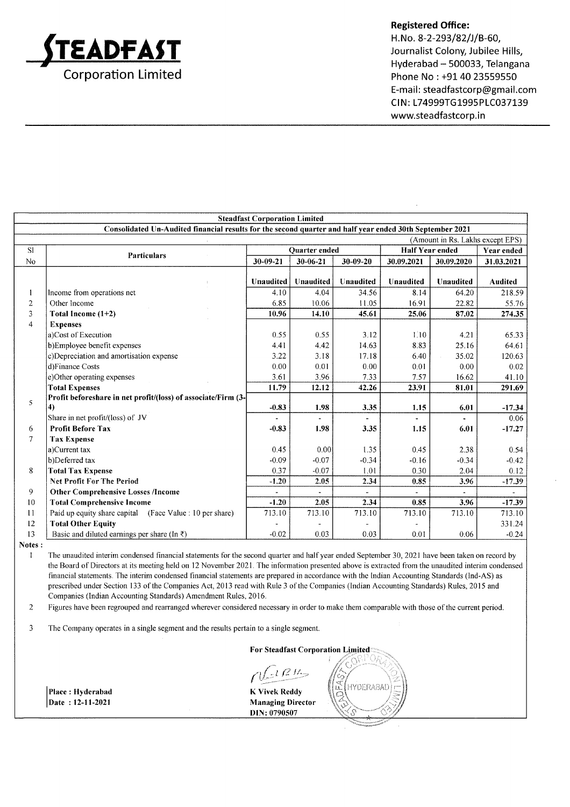

H.No. 8-2-293/82/J/B-60, Journalist Colony, Jubilee Hills, Hyderabad - 500033, Telangana Phone No : +91 40 23559550 E-mail: steadfastcorp@gmail.com CIN: L74999TG1995PLC037139 www.steadfastcorp.in

|                                                                                                          | <b>Steadfast Corporation Limited</b>                          |                  |                       |              |                        |                                  |                   |
|----------------------------------------------------------------------------------------------------------|---------------------------------------------------------------|------------------|-----------------------|--------------|------------------------|----------------------------------|-------------------|
| Consolidated Un-Audited financial results for the second quarter and half year ended 30th September 2021 |                                                               |                  |                       |              |                        |                                  |                   |
|                                                                                                          |                                                               |                  |                       |              |                        | (Amount in Rs. Lakhs except EPS) |                   |
| S1                                                                                                       | <b>Particulars</b>                                            |                  | <b>Ouarter</b> ended  |              | <b>Half Year ended</b> |                                  | <b>Year ended</b> |
| No                                                                                                       |                                                               | 30-09-21         | 30-06-21              | 30-09-20     | 30.09.2021             | 30.09.2020                       | 31.03.2021        |
|                                                                                                          |                                                               | <b>Unaudited</b> | Unaudited             | Unaudited    | Unaudited              | <b>Unaudited</b>                 | Audited           |
|                                                                                                          | Income from operations net                                    | 4.10             | 4.04                  | 34.56        | 8.14                   | 64.20                            | 218.59            |
| $\overline{2}$                                                                                           | Other Income                                                  | 6.85             | 10.06                 | 11.05        | 16.91                  | 22.82                            | 55.76             |
| 3                                                                                                        | Total Income $(1+2)$                                          | 10.96            | 14.10                 | 45.61        | 25.06                  | 87.02                            | 274.35            |
| $\overline{4}$                                                                                           | <b>Expenses</b>                                               |                  |                       |              |                        |                                  |                   |
|                                                                                                          | a)Cost of Execution                                           | 0.55             | 0.55                  | 3.12         | 1.10                   | 4.21                             | 65.33             |
|                                                                                                          | b)Employee benefit expenses                                   | 4.41             | 4.42                  | 14.63        | 8.83                   | 25.16                            | 64.61             |
|                                                                                                          | c)Depreciation and amortisation expense                       | 3.22             | 3.18                  | 17.18        | 6.40                   | 35.02                            | 120.63            |
|                                                                                                          | d)Finance Costs                                               | 0.00             | 0.01                  | 0.00         | 0:01                   | 0.00                             | 0.02              |
|                                                                                                          | e)Other operating expenses                                    | 3.61             | 3.96                  | 7.33         | 7.57                   | 16.62                            | 41.10             |
|                                                                                                          | <b>Total Expenses</b>                                         | 11.79            | 12.12                 | 42.26        | 23.91                  | 81.01                            | 291.69            |
| 5                                                                                                        | Profit beforeshare in net profit/(loss) of associate/Firm (3- |                  |                       |              |                        |                                  |                   |
|                                                                                                          | 4)                                                            | $-0.83$          | 1.98                  | 3.35         | 1.15                   | 6.01                             | $-17.34$          |
|                                                                                                          | Share in net profit/(loss) of JV                              |                  | $\overline{a}$        |              | $\ddot{\phantom{1}}$   |                                  | 0.06              |
| 6                                                                                                        | <b>Profit Before Tax</b>                                      | $-0.83$          | 1.98                  | 3.35         | 1.15                   | 6.01                             | $-17.27$          |
| $\tau$                                                                                                   | <b>Tax Expense</b>                                            |                  |                       |              |                        |                                  |                   |
|                                                                                                          | a)Current tax                                                 | 0.45             | 0.00                  | 1.35         | 0.45                   | 2.38                             | 0.54              |
|                                                                                                          | b)Deferred tax                                                | $-0.09$          | $-0.07$               | $-0.34$      | $-0.16$                | $-0.34$                          | $-0.42$           |
| 8                                                                                                        | <b>Total Tax Expense</b>                                      | 0.37             | $-0.07$               | 1.01         | 0.30                   | 2.04                             | 0.12              |
|                                                                                                          | <b>Net Profit For The Period</b>                              | $-1.20$          | 2.05                  | 2.34         | 0.85                   | 3.96                             | $-17.39$          |
| 9                                                                                                        | <b>Other Comprehensive Losses /Income</b>                     |                  | $\tilde{\phantom{a}}$ | $\mathbf{r}$ | $\mathbf{r}$           | $\blacksquare$                   |                   |
| 10                                                                                                       | <b>Total Comprehensive Income</b>                             | $-1.20$          | 2.05                  | 2.34         | 0.85                   | 3.96                             | $-17.39$          |
| 11                                                                                                       | Paid up equity share capital (Face Value : 10 per share)      | 713.10           | 713.10                | 713.10       | 713.10                 | 713.10                           | 713.10            |
| 12                                                                                                       | <b>Total Other Equity</b>                                     |                  |                       |              |                        |                                  | 331.24            |
| 13                                                                                                       | Basic and diluted earnings per share (In $\bar{z}$ )          | $-0.02$          | 0.03                  | 0.03         | 0.01                   | 0.06                             | $-0.24$           |

Notes :

Place : Hyderabad Date: 12-11-2021

I The unaudited interim condensed financial statements for the second quarter and halfyear ended September 30,2021 have been taken on record by the Board of Directors at its meeting held on 12 November 2021. The information presented above is extracted from the unaudited interim condensed financial statements. The interim condensed financial statements are prepared in accordance with the Indian Accounting Standards (Ind-AS) as prescribed under Section 133 of the Companies Act, 2013 read with Rule 3 of the Companies (Indian Accounting Standards) Rules, 2015 and Companies (Indian Accounting Standards) Amendment Rules, 2016.

Figures have been regrouped and reananged wherever considered necessary in order to make them comparable with those of the current period. 2

3 The Company operates in a single segment and the results pertain to a single segment.

For Steadfast Corporation

 $tR$ 

K Vivek Reddy Managing Director DIN: 0790507

 $\tilde{\mathbf{u}}$ HYDERABAD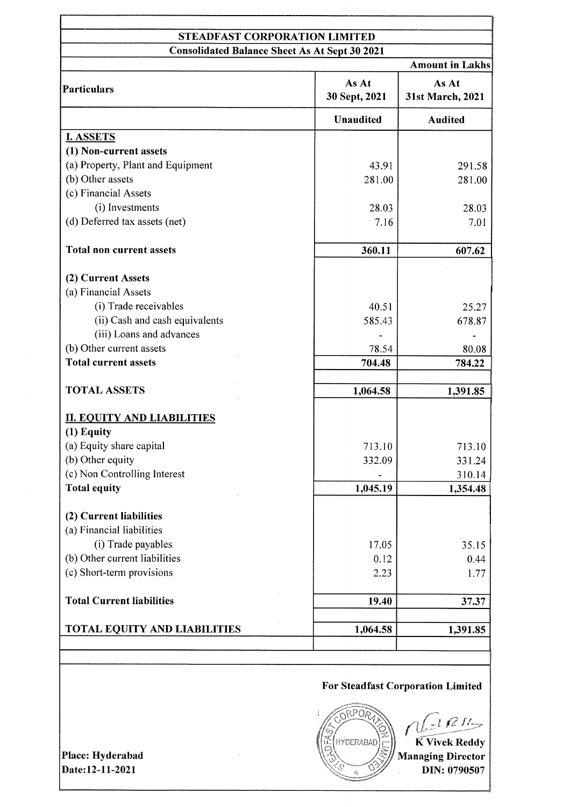## STEADFAST CORPORATION LIMITED Consolidated Balance Sheet As At Sept 30 2021

|                                     |                        | <b>Amount in Lakhs</b>    |  |
|-------------------------------------|------------------------|---------------------------|--|
| Particulars                         | As At<br>30 Sept, 2021 | As At<br>31st March, 2021 |  |
|                                     | <b>Unaudited</b>       | <b>Audited</b>            |  |
| <b>I. ASSETS</b>                    |                        |                           |  |
| (1) Non-current assets              |                        |                           |  |
| (a) Property, Plant and Equipment   | 43.91                  | 291.58                    |  |
| (b) Other assets                    | 281.00                 | 281.00                    |  |
| (c) Financial Assets                |                        |                           |  |
| (i) Investments                     | 28.03                  | 28.03                     |  |
| (d) Deferred tax assets (net)       | 7.16                   | 7.01                      |  |
| <b>Total non current assets</b>     | 360.11                 | 607.62                    |  |
| (2) Current Assets                  |                        |                           |  |
| (a) Financial Assets                |                        |                           |  |
| (i) Trade receivables               | 40.51                  | 25.27                     |  |
| (ii) Cash and cash equivalents      | 585.43                 | 678.87                    |  |
| (iii) Loans and advances            |                        |                           |  |
| (b) Other current assets            | 78.54                  | 80.08                     |  |
| <b>Total current assets</b>         | 704.48                 | 784.22                    |  |
| <b>TOTAL ASSETS</b>                 | 1,064.58               | 1,391.85                  |  |
|                                     |                        |                           |  |
| <b>II. EQUITY AND LIABILITIES</b>   |                        |                           |  |
| (1) Equity                          |                        |                           |  |
| (a) Equity share capital            | 713.10                 | 713.10                    |  |
| (b) Other equity                    | 332.09                 | 331.24                    |  |
| (c) Non Controlling Interest        |                        | 310.14                    |  |
| <b>Total equity</b>                 | 1,045.19               | 1,354.48                  |  |
| (2) Current liabilities             |                        |                           |  |
| (a) Financial liabilities           |                        |                           |  |
| (i) Trade payables                  | 17.05                  | 35.15                     |  |
| (b) Other current liabilities       | 0.12                   | 0.44                      |  |
| (c) Short-term provisions           | 2.23                   | 1.77                      |  |
| <b>Total Current liabilities</b>    | 19.40                  | 37.37                     |  |
|                                     |                        |                           |  |
| <b>TOTAL EQUITY AND LIABILITIES</b> | 1,064.58               | 1,391.85                  |  |
|                                     |                        |                           |  |

## For Steadfast Corporation Limited

**SRPOR**  $t \leq t$ K Vivek Reddy HYDERABAD Managing Director DIN:0790507

Place: Hyderabad Date:12-ll-2021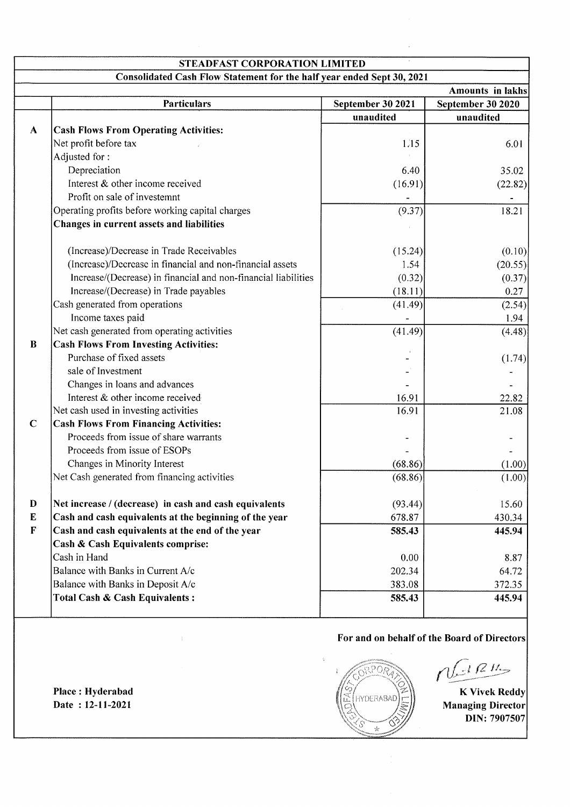| <b>STEADFAST CORPORATION LIMITED</b> |                                                                        |                   |                                                  |  |
|--------------------------------------|------------------------------------------------------------------------|-------------------|--------------------------------------------------|--|
|                                      | Consolidated Cash Flow Statement for the half year ended Sept 30, 2021 |                   |                                                  |  |
|                                      |                                                                        |                   | <b>Amounts in lakhs</b>                          |  |
|                                      | <b>Particulars</b>                                                     | September 30 2021 | September 30 2020                                |  |
|                                      |                                                                        | unaudited         | unaudited                                        |  |
| $\mathbf{A}$                         | <b>Cash Flows From Operating Activities:</b>                           |                   |                                                  |  |
|                                      | Net profit before tax                                                  | 1.15              | 6.01                                             |  |
|                                      | Adjusted for:                                                          |                   |                                                  |  |
|                                      | Depreciation                                                           | 6.40              | 35.02                                            |  |
|                                      | Interest & other income received                                       | (16.91)           | (22.82)                                          |  |
|                                      | Profit on sale of investemnt                                           |                   |                                                  |  |
|                                      | Operating profits before working capital charges                       | (9.37)            | 18.21                                            |  |
|                                      | Changes in current assets and liabilities                              |                   |                                                  |  |
|                                      | (Increase)/Decrease in Trade Receivables                               | (15.24)           | (0.10)                                           |  |
|                                      | (Increase)/Decrease in financial and non-financial assets              | 1.54              | (20.55)                                          |  |
|                                      | Increase/(Decrease) in financial and non-financial liabilities         | (0.32)            | (0.37)                                           |  |
|                                      | Increase/(Decrease) in Trade payables                                  | (18.11)           | 0.27                                             |  |
|                                      | Cash generated from operations                                         | (41.49)           | (2.54)                                           |  |
|                                      | Income taxes paid                                                      |                   | 1.94                                             |  |
|                                      | Net cash generated from operating activities                           | (41.49)           | (4.48)                                           |  |
| $\bf{B}$                             | <b>Cash Flows From Investing Activities:</b>                           |                   |                                                  |  |
|                                      | Purchase of fixed assets                                               |                   | (1.74)                                           |  |
|                                      | sale of Investment                                                     |                   |                                                  |  |
|                                      | Changes in loans and advances                                          |                   |                                                  |  |
|                                      | Interest & other income received                                       | 16.91             | 22.82                                            |  |
|                                      | Net cash used in investing activities                                  | 16.91             | 21.08                                            |  |
| $\mathbf C$                          | <b>Cash Flows From Financing Activities:</b>                           |                   |                                                  |  |
|                                      | Proceeds from issue of share warrants                                  |                   |                                                  |  |
|                                      | Proceeds from issue of ESOPs                                           |                   |                                                  |  |
|                                      | Changes in Minority Interest                                           | (68.86)           | (1.00)                                           |  |
|                                      | Net Cash generated from financing activities                           | (68.86)           |                                                  |  |
|                                      |                                                                        |                   | (1.00)                                           |  |
| D                                    | Net increase / (decrease) in cash and cash equivalents                 | (93.44)           | 15.60                                            |  |
| $\bf{E}$                             | Cash and cash equivalents at the beginning of the year                 | 678.87            | 430.34                                           |  |
| $\mathbf{F}$                         | Cash and cash equivalents at the end of the year                       | 585.43            | 445.94                                           |  |
|                                      | Cash & Cash Equivalents comprise:                                      |                   |                                                  |  |
|                                      | Cash in Hand                                                           | 0.00              | 8.87                                             |  |
|                                      | Balance with Banks in Current A/c                                      | 202.34            | 64.72                                            |  |
|                                      | Balance with Banks in Deposit A/c                                      | 383.08            | 372.35                                           |  |
|                                      | Total Cash & Cash Equivalents:                                         | 585.43            | 445.94                                           |  |
|                                      |                                                                        |                   | For and on behalf of the Board of Directors      |  |
|                                      |                                                                        |                   | $dRH_7$                                          |  |
|                                      | Place: Hyderabad<br>Date: 12-11-2021                                   | <b>HYDERABAD</b>  | <b>K Vivek Reddy</b><br><b>Managing Director</b> |  |

K Vivek Reddy Managing Director DIN: 7907507

்

'S  $\dot{\mathcal{R}}$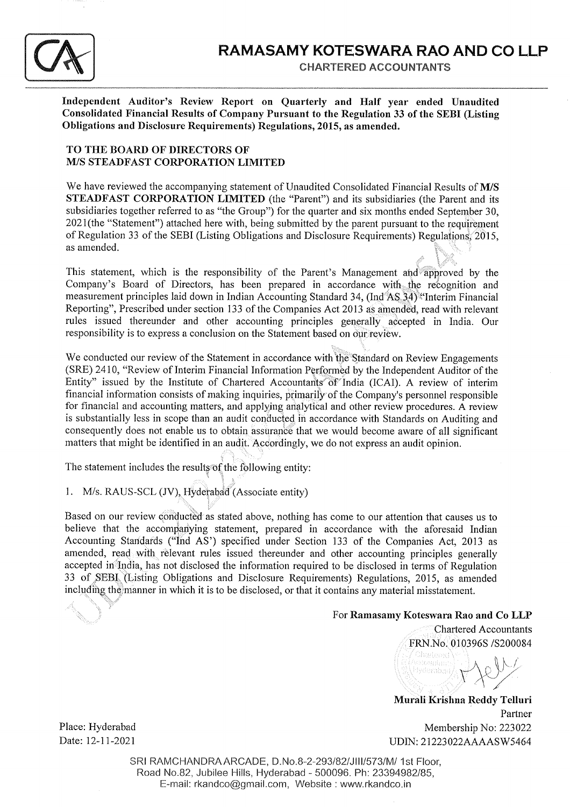

CHARTERED ACCOUNTANTS

Independent Auditor's Review Report on Quarterly and Half year ended Unaudited Consolidated Financial Results of Company Pursuant to the Regulation 33 of the SEBI (Listing Obligations and Disclosure Requirements) Regulations, 2015, as amended.

### TO THE BOARD OF DIRECTORS OF M/S STEADFAST CORPORATION LIMITED

We have reviewed the accompanying statement of Unaudited Consolidated Financial Results of M/S STEADFAST CORPORATION LIMITED (the "Parent") and its subsidiaries (the Parent and its subsidiaries together referred to as "the Group") for the quarter and six months ended September 30, 2021(the "Statement") attached here with, being submitted by the parent pursuant to the requirement of Regulation 33 of the SEBI (Listing Obligations and Disclosure Requirements) Regulations, 2015, as amended.

 $i' \in \mathcal{N}_i$ This statement, which is the responsibility of the Parent's Management and approved by the Company's Board of Directors, has been prepared in accordance with the recognition and measurement principles laid down in Indian Accounting Standard 34, (Ind'AS.3\$) {'Interim Financial Reporting", Prescribed under section 133 of the Companies Act 2013 as amended, read with relevant rules issued thereunder and other accounting principles generally accepted in India. Our responsibility is to express a conclusion on the Statement based on our review.

We conducted our review of the Statement in accordance with the Standard on Review Engagements (SRE) 2410, "Review of Interim Financial Information Performed by the Independent Auditor of the Entity" issued by the Institute of Chartered Accountants of India (ICAI). A review of interim financial information consists of making inquiries, primarily of the Company's personnel responsible for financial and accounting matters, and applying analytical and other review procedures. A review is substantially less in scope than an audit conducted in accordance with Standards on Auditing and consequently does not enable us to obtain assurance that we would become aware of all significant matters that might be identified in an audit. Accordingly, we do not express an audit opinion.

The statement includes the results of the following entity:

i.^

1. M/s. RAUS-SCL (JV), Hyderabad (Associate entity)

i. Based on our review conducted as stated above, nothing has come to our attention that causes us to believe that the accompanying statement, prepared in accordance with the aforesaid Indian Accounting Standards ("Ind AS') specified under Section 133 of the Companies Act, 2013 as amended, read with relevant rules issued thereunder and other accounting principles generally accepted in India, has not disclosed the information required to be disclosed in terms of Regulation 33 of SEBI. (Listing Obligations and Disclosure Requirements) Regulations, 2015, as amended including the manner in which it is to be disclosed, or that it contains any material misstatement.

### For Ramasamy Koteswara Rao and Co LLP

Chartered Accountants<br>FRN.No. 010396S /S200084 toude

Murali Krishna Reddy Telluri Partner Place: Hyderabad Membership No: 223022 Date: 12-11-2021 UDIN: 21223022AAAASW5464

t .= '.'' '=

> SRI RAMCHANDRA ARCADE, D.No.8-2-293/82/JIII/573/M/ 1st Floor, Road No.B2, Jubilee Hills, Hyderabad - 500096. Ph: 23394982185, E-mail: rkandco@gmail.com, Website : www.rkandco.in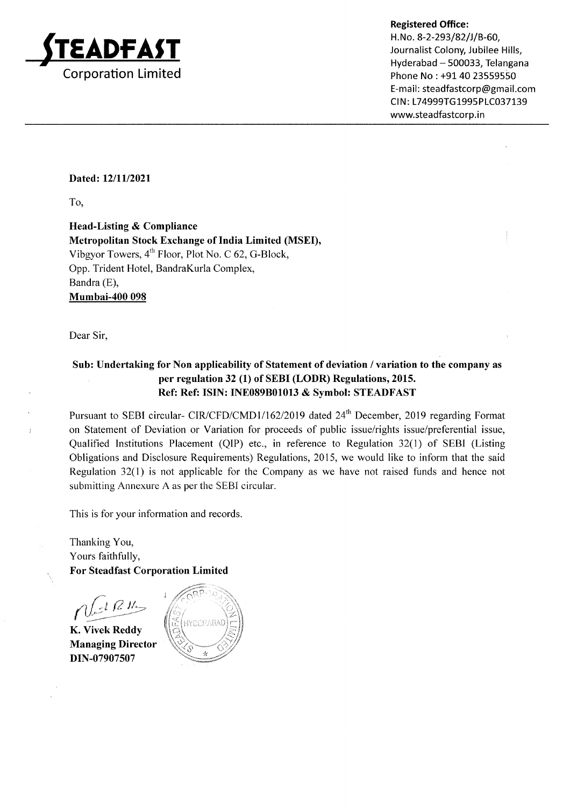

Hyderabad - 500033, Telangana Phone No: +91 40 23559550 E-mail: steadfastcorp@gmail.com CIN: L74999TG1995PLC037139 www.steadfastcorp.in

### Dated: 12/11/2021

To,

Head-Listing & Compliance Metropolitan Stock Exchange of India Limited (MSEI), Vibgyor Towers,  $4<sup>th</sup>$  Floor, Plot No. C 62, G-Block, Opp. Trident Hotel, BandraKurla Complex, Bandra (E), Mumbai-4O0 098

Dear Sir,

 $\ddot{ }$ 

## Sub: Undertaking for Non applicability of Statement of deviation / variation to the company as per regulation 32 (1) of SEBI (LODR) Regulations,2015. Ref: Ref: ISIN: INE089B01013 & Symbol: STEADFAST

Pursuant to SEBI circular- CIR/CFD/CMD1/162/2019 dated 24<sup>th</sup> December, 2019 regarding Format on Statement of Deviation or Variation for proceeds of public issue/rights issue/preferential issue, Qualified Institutions Placement (QIP) etc., in reference to Regulation 32(l) of SEBI (Listing Obligations and Disclosure Requirements) Regulations,2075, we would like to inform that the said Regulation 32(1) is not applicable for the Company as we have not raised funds and hence not submitting Annexure A as per the SEBI circular.

This is for your information and records.

Thanking You, Yours faithfully, For Steadfast Corporation Limited

t (2 M

K. Vivek Reddy Managing Director DIN-07907507

**IYDERABAC**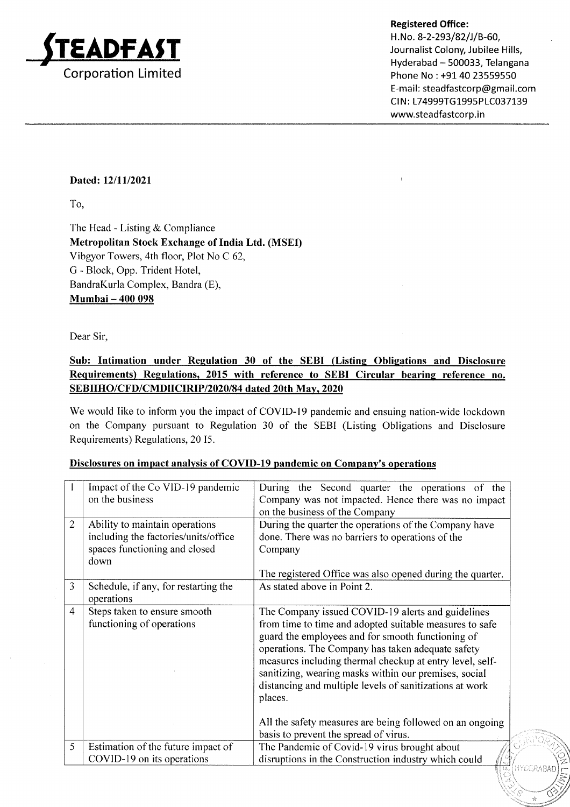

H. No. 8-2-293/82/J/B-60, Journalist Colony, Jubilee Hills, Hyderabad - 500033, Telangana Phone No : +91 40 23559550 E-mail: steadfastcorp@gmail.com CIN: L74999TG1995PLC037139 www.steadfastcorp.in

 $\mathcal{S}^{\mathbf{s}}$  . Then

r-

### Dated: l2/ll/2021

To,

The Head - Listing & Compliance Metropolitan Stock Exchange of India Ltd. (MSEI) Vibgyor Towers, 4th floor, Plot No C 62, G - Block, Opp. Trident Hotel, BandraKurla Complex, Bandra (E), Mumbai - 400 098

Dear Sir,

## Sub: Intimation under Regulation 30 of the SEBI (Listing Obligations and Disclosure Requirements) Regulations. 2015 with reference to SEBI Circular bearing reference no. SEBIIHO/CFD/CMDIICIRIP/2020/84 dated 20th Mav. 2020

We would Iike to inform you the impact of COVID-19 pandemic and ensuing nation-wide lockdown on the Company pursuant to Regulation 30 of the SEBI (Listing Obligations and Disclosure Requirements) Regulations, 20 15.

|                | Impact of the Co VID-19 pandemic     | During the Second quarter the operations of the           |
|----------------|--------------------------------------|-----------------------------------------------------------|
|                | on the business                      | Company was not impacted. Hence there was no impact       |
|                |                                      | on the business of the Company                            |
| 2              | Ability to maintain operations       | During the quarter the operations of the Company have     |
|                | including the factories/units/office | done. There was no barriers to operations of the          |
|                | spaces functioning and closed        | Company                                                   |
|                | down                                 |                                                           |
|                |                                      | The registered Office was also opened during the quarter. |
| 3              | Schedule, if any, for restarting the | As stated above in Point 2.                               |
|                | operations                           |                                                           |
| $\overline{4}$ | Steps taken to ensure smooth         | The Company issued COVID-19 alerts and guidelines         |
|                | functioning of operations            | from time to time and adopted suitable measures to safe   |
|                |                                      | guard the employees and for smooth functioning of         |
|                |                                      | operations. The Company has taken adequate safety         |
|                |                                      | measures including thermal checkup at entry level, self-  |
|                |                                      | sanitizing, wearing masks within our premises, social     |
|                |                                      | distancing and multiple levels of sanitizations at work   |
|                |                                      | places.                                                   |
|                |                                      |                                                           |
|                |                                      | All the safety measures are being followed on an ongoing  |
|                |                                      | basis to prevent the spread of virus.                     |
| 5              | Estimation of the future impact of   | The Pandemic of Covid-19 virus brought about              |
|                | COVID-19 on its operations           | disruptions in the Construction industry which could      |
|                |                                      | JERABA.                                                   |

### Disclosures on impact analysis of COVID-19 pandemic on Company's operations